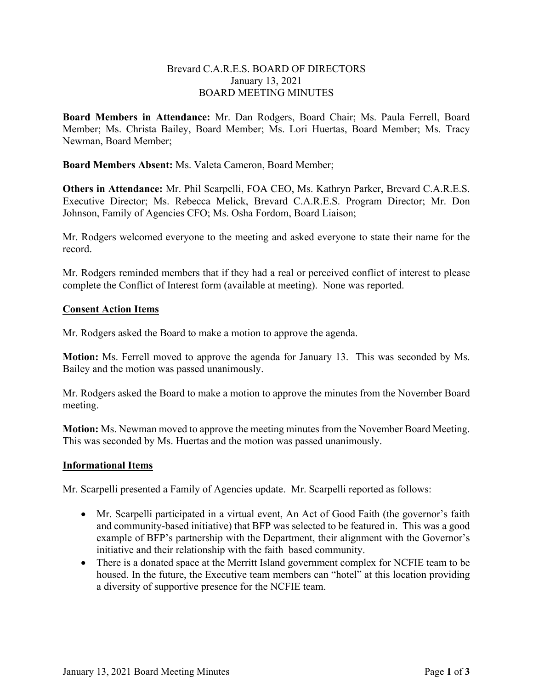## Brevard C.A.R.E.S. BOARD OF DIRECTORS January 13, 2021 BOARD MEETING MINUTES

**Board Members in Attendance:** Mr. Dan Rodgers, Board Chair; Ms. Paula Ferrell, Board Member; Ms. Christa Bailey, Board Member; Ms. Lori Huertas, Board Member; Ms. Tracy Newman, Board Member;

**Board Members Absent:** Ms. Valeta Cameron, Board Member;

**Others in Attendance:** Mr. Phil Scarpelli, FOA CEO, Ms. Kathryn Parker, Brevard C.A.R.E.S. Executive Director; Ms. Rebecca Melick, Brevard C.A.R.E.S. Program Director; Mr. Don Johnson, Family of Agencies CFO; Ms. Osha Fordom, Board Liaison;

Mr. Rodgers welcomed everyone to the meeting and asked everyone to state their name for the record.

Mr. Rodgers reminded members that if they had a real or perceived conflict of interest to please complete the Conflict of Interest form (available at meeting). None was reported.

## **Consent Action Items**

Mr. Rodgers asked the Board to make a motion to approve the agenda.

**Motion:** Ms. Ferrell moved to approve the agenda for January 13. This was seconded by Ms. Bailey and the motion was passed unanimously.

Mr. Rodgers asked the Board to make a motion to approve the minutes from the November Board meeting.

**Motion:** Ms. Newman moved to approve the meeting minutes from the November Board Meeting. This was seconded by Ms. Huertas and the motion was passed unanimously.

## **Informational Items**

Mr. Scarpelli presented a Family of Agencies update. Mr. Scarpelli reported as follows:

- Mr. Scarpelli participated in a virtual event, An Act of Good Faith (the governor's faith and community-based initiative) that BFP was selected to be featured in. This was a good example of BFP's partnership with the Department, their alignment with the Governor's initiative and their relationship with the faith based community.
- There is a donated space at the Merritt Island government complex for NCFIE team to be housed. In the future, the Executive team members can "hotel" at this location providing a diversity of supportive presence for the NCFIE team.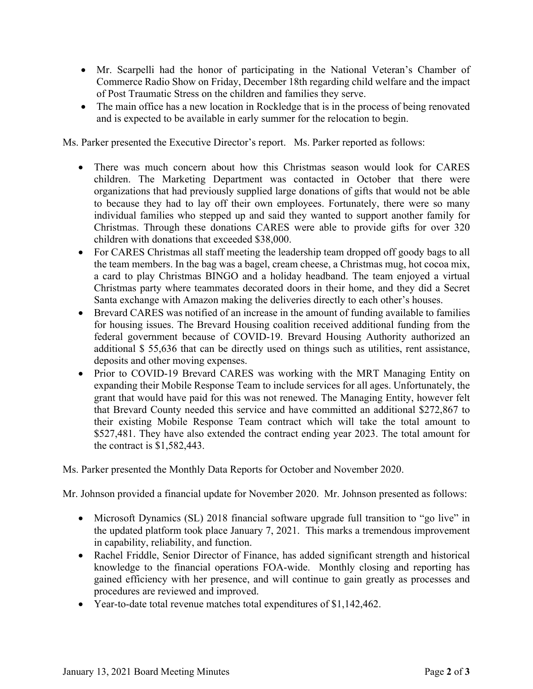- Mr. Scarpelli had the honor of participating in the National Veteran's Chamber of Commerce Radio Show on Friday, December 18th regarding child welfare and the impact of Post Traumatic Stress on the children and families they serve.
- The main office has a new location in Rockledge that is in the process of being renovated and is expected to be available in early summer for the relocation to begin.

Ms. Parker presented the Executive Director's report. Ms. Parker reported as follows:

- There was much concern about how this Christmas season would look for CARES children. The Marketing Department was contacted in October that there were organizations that had previously supplied large donations of gifts that would not be able to because they had to lay off their own employees. Fortunately, there were so many individual families who stepped up and said they wanted to support another family for Christmas. Through these donations CARES were able to provide gifts for over 320 children with donations that exceeded \$38,000.
- For CARES Christmas all staff meeting the leadership team dropped off goody bags to all the team members. In the bag was a bagel, cream cheese, a Christmas mug, hot cocoa mix, a card to play Christmas BINGO and a holiday headband. The team enjoyed a virtual Christmas party where teammates decorated doors in their home, and they did a Secret Santa exchange with Amazon making the deliveries directly to each other's houses.
- Brevard CARES was notified of an increase in the amount of funding available to families for housing issues. The Brevard Housing coalition received additional funding from the federal government because of COVID-19. Brevard Housing Authority authorized an additional \$ 55,636 that can be directly used on things such as utilities, rent assistance, deposits and other moving expenses.
- Prior to COVID-19 Brevard CARES was working with the MRT Managing Entity on expanding their Mobile Response Team to include services for all ages. Unfortunately, the grant that would have paid for this was not renewed. The Managing Entity, however felt that Brevard County needed this service and have committed an additional \$272,867 to their existing Mobile Response Team contract which will take the total amount to \$527,481. They have also extended the contract ending year 2023. The total amount for the contract is \$1,582,443.

Ms. Parker presented the Monthly Data Reports for October and November 2020.

Mr. Johnson provided a financial update for November 2020. Mr. Johnson presented as follows:

- Microsoft Dynamics (SL) 2018 financial software upgrade full transition to "go live" in the updated platform took place January 7, 2021. This marks a tremendous improvement in capability, reliability, and function.
- Rachel Friddle, Senior Director of Finance, has added significant strength and historical knowledge to the financial operations FOA-wide. Monthly closing and reporting has gained efficiency with her presence, and will continue to gain greatly as processes and procedures are reviewed and improved.
- Year-to-date total revenue matches total expenditures of \$1,142,462.